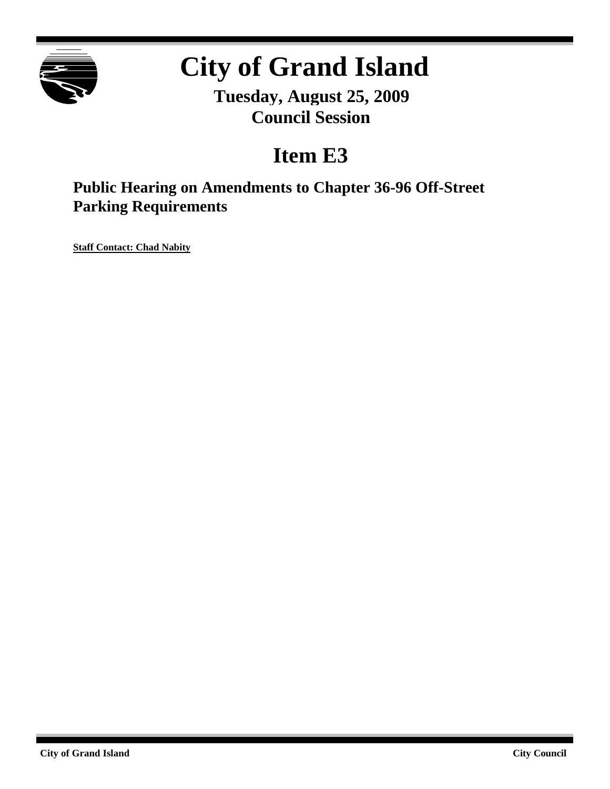

# **City of Grand Island**

**Tuesday, August 25, 2009 Council Session**

## **Item E3**

### **Public Hearing on Amendments to Chapter 36-96 Off-Street Parking Requirements**

**Staff Contact: Chad Nabity**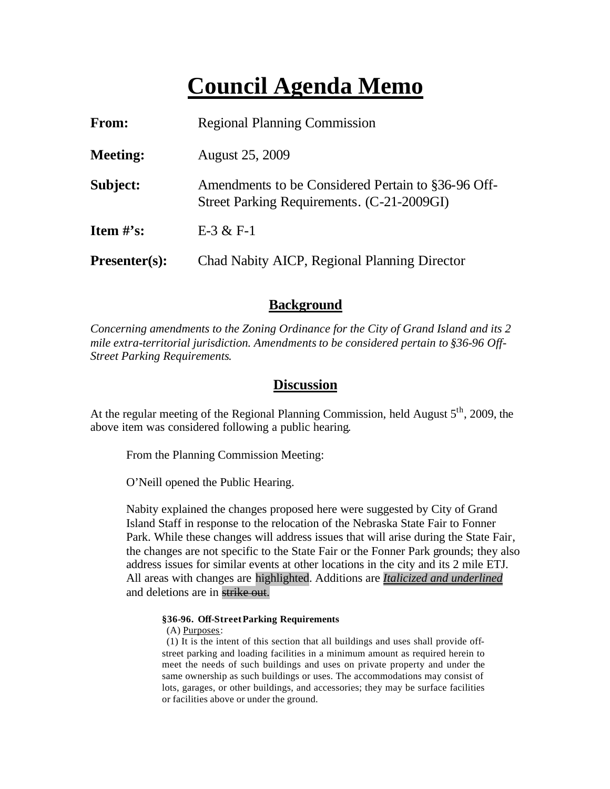## **Council Agenda Memo**

| <b>From:</b>                   | <b>Regional Planning Commission</b>                                                              |
|--------------------------------|--------------------------------------------------------------------------------------------------|
| <b>Meeting:</b>                | <b>August 25, 2009</b>                                                                           |
| Subject:                       | Amendments to be Considered Pertain to §36-96 Off-<br>Street Parking Requirements. (C-21-2009GI) |
| <b>Item <math>\#</math>'s:</b> | $E-3 & E-1$                                                                                      |
| $Presenter(s):$                | Chad Nabity AICP, Regional Planning Director                                                     |

#### **Background**

*Concerning amendments to the Zoning Ordinance for the City of Grand Island and its 2 mile extra-territorial jurisdiction. Amendments to be considered pertain to §36-96 Off-Street Parking Requirements*.

#### **Discussion**

At the regular meeting of the Regional Planning Commission, held August  $5<sup>th</sup>$ , 2009, the above item was considered following a public hearing.

From the Planning Commission Meeting:

O'Neill opened the Public Hearing.

Nabity explained the changes proposed here were suggested by City of Grand Island Staff in response to the relocation of the Nebraska State Fair to Fonner Park. While these changes will address issues that will arise during the State Fair, the changes are not specific to the State Fair or the Fonner Park grounds; they also address issues for similar events at other locations in the city and its 2 mile ETJ. All areas with changes are highlighted. Additions are *Italicized and underlined* and deletions are in strike out.

#### **§36-96. Off-StreetParking Requirements**

(A) Purposes:

 (1) It is the intent of this section that all buildings and uses shall provide offstreet parking and loading facilities in a minimum amount as required herein to meet the needs of such buildings and uses on private property and under the same ownership as such buildings or uses. The accommodations may consist of lots, garages, or other buildings, and accessories; they may be surface facilities or facilities above or under the ground.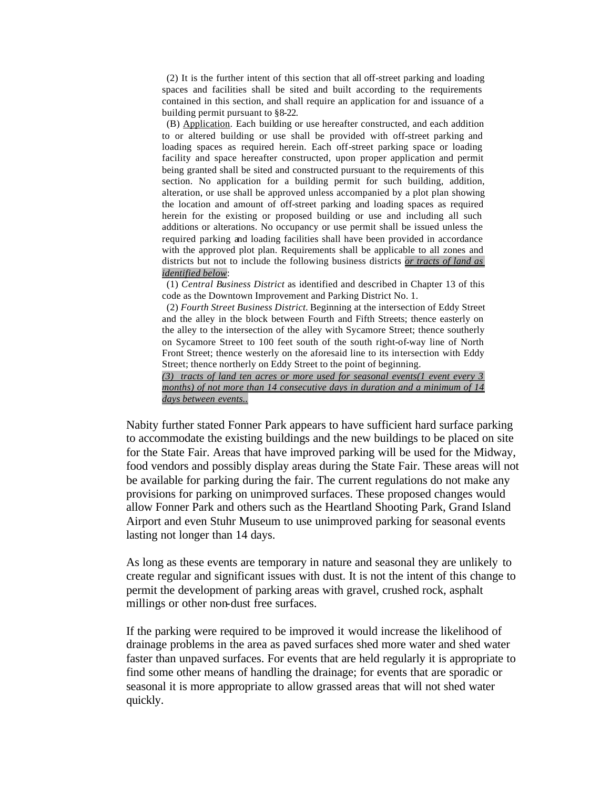(2) It is the further intent of this section that all off-street parking and loading spaces and facilities shall be sited and built according to the requirements contained in this section, and shall require an application for and issuance of a building permit pursuant to §8-22.

 (B) Application. Each building or use hereafter constructed, and each addition to or altered building or use shall be provided with off-street parking and loading spaces as required herein. Each off-street parking space or loading facility and space hereafter constructed, upon proper application and permit being granted shall be sited and constructed pursuant to the requirements of this section. No application for a building permit for such building, addition, alteration, or use shall be approved unless accompanied by a plot plan showing the location and amount of off-street parking and loading spaces as required herein for the existing or proposed building or use and including all such additions or alterations. No occupancy or use permit shall be issued unless the required parking and loading facilities shall have been provided in accordance with the approved plot plan. Requirements shall be applicable to all zones and districts but not to include the following business districts *or tracts of land as identified below*:

 (1) *Central Business District* as identified and described in Chapter 13 of this code as the Downtown Improvement and Parking District No. 1.

 (2) *Fourth Street Business District.* Beginning at the intersection of Eddy Street and the alley in the block between Fourth and Fifth Streets; thence easterly on the alley to the intersection of the alley with Sycamore Street; thence southerly on Sycamore Street to 100 feet south of the south right-of-way line of North Front Street; thence westerly on the aforesaid line to its intersection with Eddy Street; thence northerly on Eddy Street to the point of beginning.

*(3) tracts of land ten acres or more used for seasonal events(1 event every 3 months) of not more than 14 consecutive days in duration and a minimum of 14 days between events..*

Nabity further stated Fonner Park appears to have sufficient hard surface parking to accommodate the existing buildings and the new buildings to be placed on site for the State Fair. Areas that have improved parking will be used for the Midway, food vendors and possibly display areas during the State Fair. These areas will not be available for parking during the fair. The current regulations do not make any provisions for parking on unimproved surfaces. These proposed changes would allow Fonner Park and others such as the Heartland Shooting Park, Grand Island Airport and even Stuhr Museum to use unimproved parking for seasonal events lasting not longer than 14 days.

As long as these events are temporary in nature and seasonal they are unlikely to create regular and significant issues with dust. It is not the intent of this change to permit the development of parking areas with gravel, crushed rock, asphalt millings or other non-dust free surfaces.

If the parking were required to be improved it would increase the likelihood of drainage problems in the area as paved surfaces shed more water and shed water faster than unpaved surfaces. For events that are held regularly it is appropriate to find some other means of handling the drainage; for events that are sporadic or seasonal it is more appropriate to allow grassed areas that will not shed water quickly.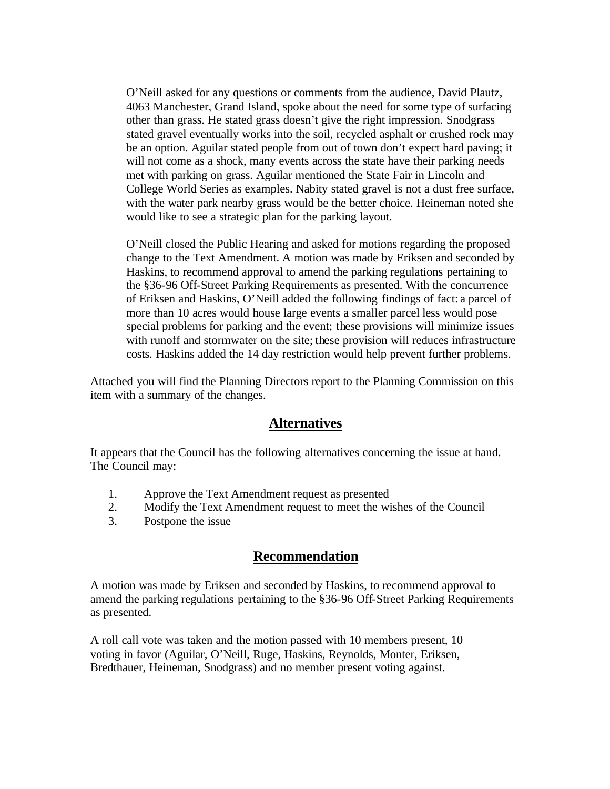O'Neill asked for any questions or comments from the audience, David Plautz, 4063 Manchester, Grand Island, spoke about the need for some type of surfacing other than grass. He stated grass doesn't give the right impression. Snodgrass stated gravel eventually works into the soil, recycled asphalt or crushed rock may be an option. Aguilar stated people from out of town don't expect hard paving; it will not come as a shock, many events across the state have their parking needs met with parking on grass. Aguilar mentioned the State Fair in Lincoln and College World Series as examples. Nabity stated gravel is not a dust free surface, with the water park nearby grass would be the better choice. Heineman noted she would like to see a strategic plan for the parking layout.

O'Neill closed the Public Hearing and asked for motions regarding the proposed change to the Text Amendment. A motion was made by Eriksen and seconded by Haskins, to recommend approval to amend the parking regulations pertaining to the §36-96 Off-Street Parking Requirements as presented. With the concurrence of Eriksen and Haskins, O'Neill added the following findings of fact: a parcel of more than 10 acres would house large events a smaller parcel less would pose special problems for parking and the event; these provisions will minimize issues with runoff and stormwater on the site; these provision will reduces infrastructure costs. Haskins added the 14 day restriction would help prevent further problems.

Attached you will find the Planning Directors report to the Planning Commission on this item with a summary of the changes.

#### **Alternatives**

It appears that the Council has the following alternatives concerning the issue at hand. The Council may:

- 1. Approve the Text Amendment request as presented
- 2. Modify the Text Amendment request to meet the wishes of the Council
- 3. Postpone the issue

#### **Recommendation**

A motion was made by Eriksen and seconded by Haskins, to recommend approval to amend the parking regulations pertaining to the §36-96 Off-Street Parking Requirements as presented.

A roll call vote was taken and the motion passed with 10 members present, 10 voting in favor (Aguilar, O'Neill, Ruge, Haskins, Reynolds, Monter, Eriksen, Bredthauer, Heineman, Snodgrass) and no member present voting against.